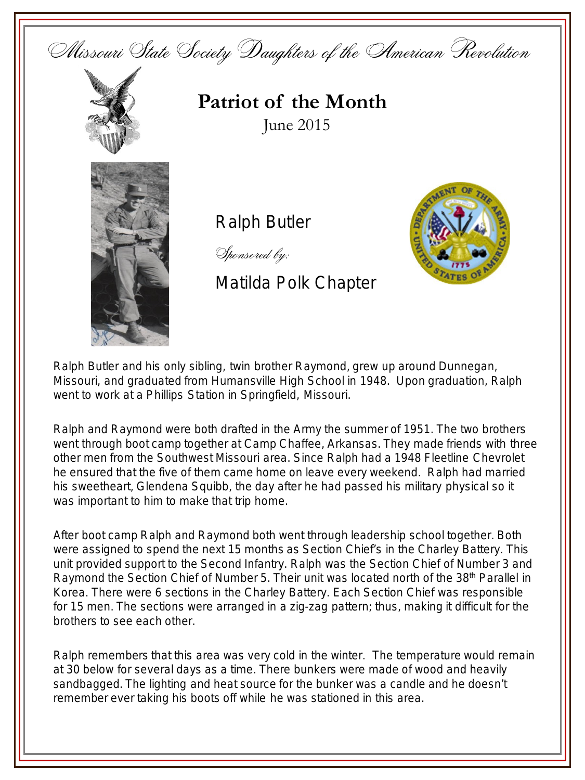



## **Patriot of the Month** June 2015



Ralph Butler

Sponsored by:

Matilda Polk Chapter



Ralph Butler and his only sibling, twin brother Raymond, grew up around Dunnegan, Missouri, and graduated from Humansville High School in 1948. Upon graduation, Ralph went to work at a Phillips Station in Springfield, Missouri.

Ralph and Raymond were both drafted in the Army the summer of 1951. The two brothers went through boot camp together at Camp Chaffee, Arkansas. They made friends with three other men from the Southwest Missouri area. Since Ralph had a 1948 Fleetline Chevrolet he ensured that the five of them came home on leave every weekend. Ralph had married his sweetheart, Glendena Squibb, the day after he had passed his military physical so it was important to him to make that trip home.

After boot camp Ralph and Raymond both went through leadership school together. Both were assigned to spend the next 15 months as Section Chief's in the Charley Battery. This unit provided support to the Second Infantry. Ralph was the Section Chief of Number 3 and Raymond the Section Chief of Number 5. Their unit was located north of the 38<sup>th</sup> Parallel in Korea. There were 6 sections in the Charley Battery. Each Section Chief was responsible for 15 men. The sections were arranged in a zig-zag pattern; thus, making it difficult for the brothers to see each other.

Ralph remembers that this area was very cold in the winter. The temperature would remain at 30 below for several days as a time. There bunkers were made of wood and heavily sandbagged. The lighting and heat source for the bunker was a candle and he doesn't remember ever taking his boots off while he was stationed in this area.